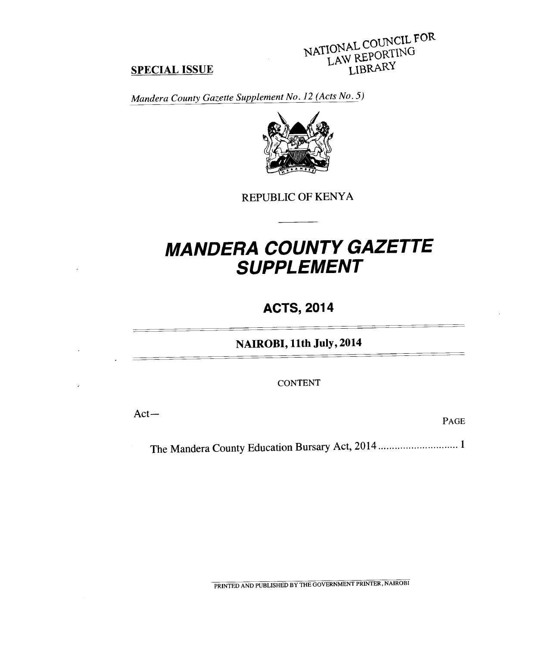# NATIONAL COUNCIL FOR LAW REPORTING

#### **SPECIAL ISSUE**

*Mandera County Gazette Supplement No. 12 (Acts No. 5)* 



REPUBLIC OF KENYA

## *MANDERA COUNTY GAZETTE SUPPLEMENT*

### **ACTS, 2014**

**NAIROBI, 11th July, 2014** 

CONTENT

Act—

PAGE

The Mandera County Education Bursary Act, 2014 ................................ 1

PRINTED AND PUBLISHED BY THE GOVERNMENT PRINTER, NAIROBI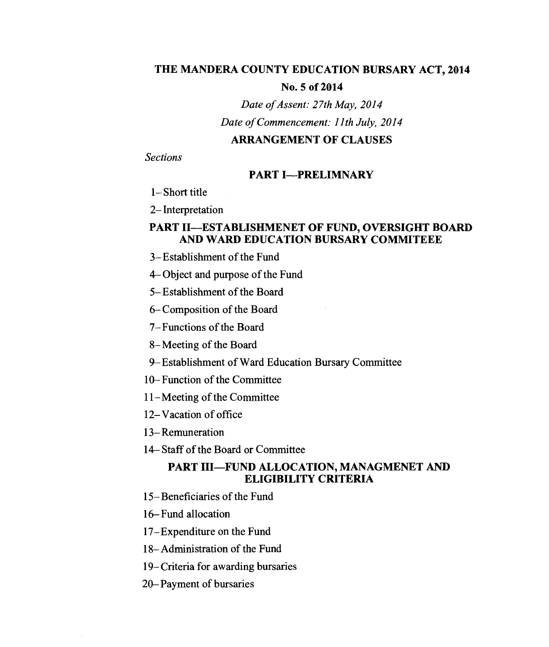#### **THE MANDERA COUNTY EDUCATION BURSARY ACT, 2014**

#### **No. 5 of 2014**

*Date of Assent: 27th May, 2014 Date of Commencement: 1 1 th July, 2014* 

#### **ARRANGEMENT OF CLAUSES**

*Sections* 

#### **PART I—PRELIMNARY**

1—Short title

2—Interpretation

#### **PART II—ESTABLISHMENET OF FUND, OVERSIGHT BOARD AND WARD EDUCATION BURSARY COMMITEEE**

- 3—Establishment of the Fund
- 4—Object and purpose of the Fund
- 5—Establishment of the Board
- 6—Composition of the Board
- 7—Functions of the Board
- 8—Meeting of the Board
- 9—Establishment of Ward Education Bursary Committee
- 10—Function of the Committee
- 11—Meeting of the Committee
- 12—Vacation of office
- 13—Remuneration
- 14— Staff of the Board or Committee

#### **PART HI—FUND ALLOCATION, MANAGMENET AND ELIGIBILITY CRITERIA**

- 15—Beneficiaries of the Fund
- 16—Fund allocation
- 17—Expenditure on the Fund
- 18—Administration of the Fund
- 19—Criteria for awarding bursaries
- 20—Payment of bursaries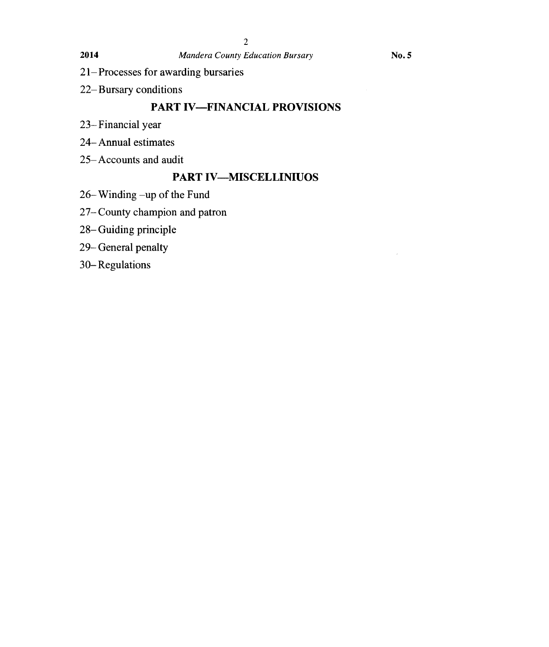- 21—Processes for awarding bursaries
- 22—Bursary conditions

#### **PART IV—FINANCIAL PROVISIONS**

- 23—Financial year
- 24—Annual estimates
- 25—Accounts and audit

#### **PART IV—MISCELLINIUOS**

- 26—Winding —up of the Fund
- 27—County champion and patron
- 28—Guiding principle
- 29—General penalty
- 30—Regulations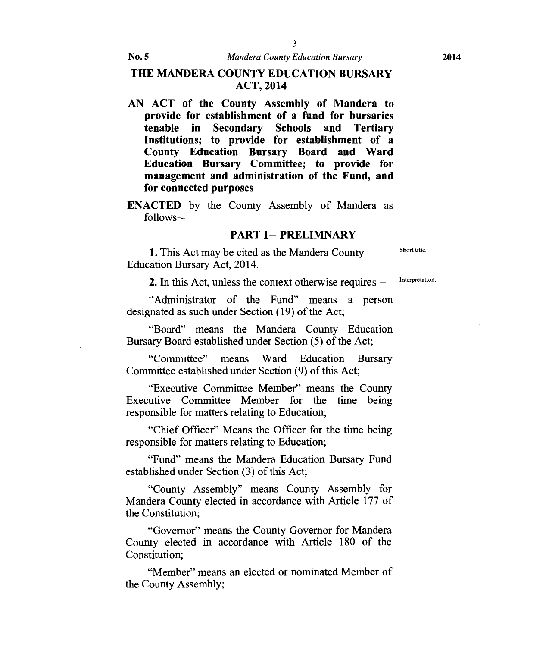#### **THE MANDERA COUNTY EDUCATION BURSARY ACT, 2014**

**AN ACT of the County Assembly of Mandera to provide for establishment of a fund for bursaries tenable in Secondary Schools and Tertiary Institutions; to provide for establishment of a County Education Bursary Board and Ward Education Bursary Committee; to provide for management and administration of the Fund, and for connected purposes** 

**ENACTED** by the County Assembly of Mandera as follows—

#### **PART 1—PRELIMNARY**

1. This Act may be cited as the Mandera County Short title. Education Bursary Act, 2014.

2. In this Act, unless the context otherwise requires— Interpretation.

"Administrator of the Fund" means a person designated as such under Section (19) of the Act;

"Board" means the Mandera County Education Bursary Board established under Section (5) of the Act;

"Committee" means Ward Education Bursary Committee established under Section (9) of this Act;

"Executive Committee Member" means the County Executive Committee Member for the time being responsible for matters relating to Education;

"Chief Officer" Means the Officer for the time being responsible for matters relating to Education;

"Fund" means the Mandera Education Bursary Fund established under Section (3) of this Act;

"County Assembly" means County Assembly for Mandera County elected in accordance with Article 177 of the Constitution;

"Governor" means the County Governor for Mandera County elected in accordance with Article 180 of the Constitution;

"Member" means an elected or nominated Member of the County Assembly;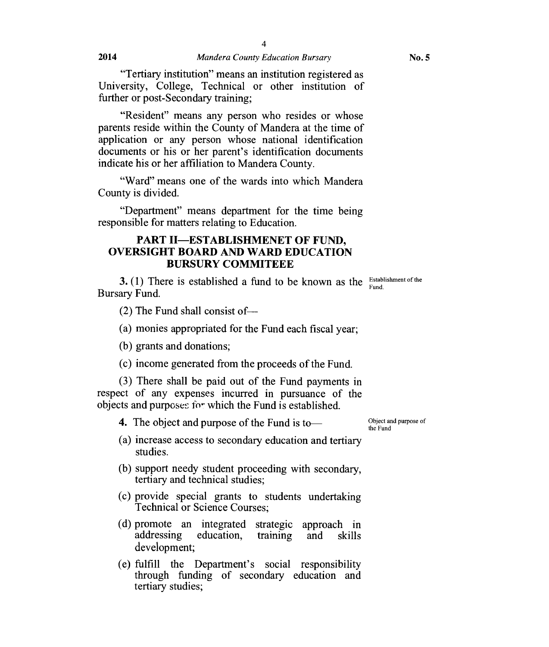"Tertiary institution" means an institution registered as University, College, Technical or other institution of further or post-Secondary training;

"Resident" means any person who resides or whose parents reside within the County of Mandera at the time of application or any person whose national identification documents or his or her parent's identification documents indicate his or her affiliation to Mandera County.

"Ward" means one of the wards into which Mandera County is divided.

"Department" means department for the time being responsible for matters relating to Education.

#### **PART II—ESTABLISHMENET OF FUND, OVERSIGHT BOARD AND WARD EDUCATION BURSURY COMMITEEE**

**3.** (1) There is established a fund to be known as the  $\frac{\text{Estabilishment of the}}{\text{End}}$ Bursary Fund. Fund.

(2) The Fund shall consist of—

(a) monies appropriated for the Fund each fiscal year;

(b) grants and donations;

(c) income generated from the proceeds of the Fund.

(3) There shall be paid out of the Fund payments in respect of any expenses incurred in pursuance of the objects and purposes for which the Fund is established.

**4.** The object and purpose of the Fund is to—

Object and purpose of the Fund

- (a) increase access to secondary education and tertiary studies.
- (b) support needy student proceeding with secondary, tertiary and technical studies;
- (c) provide special grants to students undertaking Technical or Science Courses;
- (d) promote an integrated strategic approach in addressing education, training and skills addressing education, training and skills development;
- $(e)$  fulfill the Department's social responsibility through funding of secondary education and tertiary studies;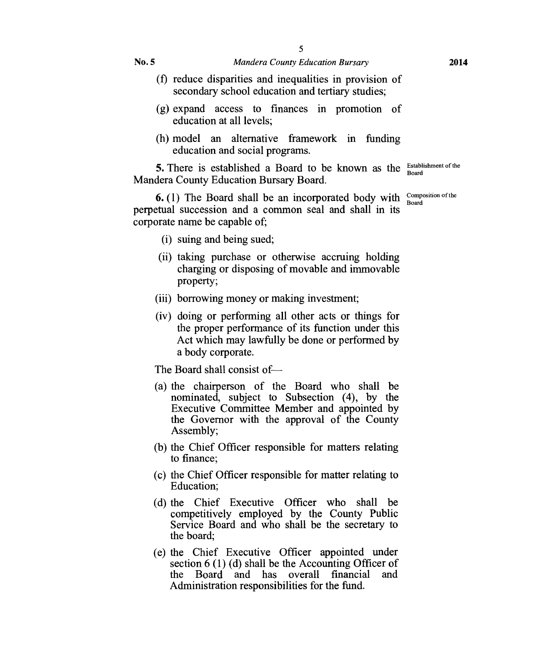- (f) reduce disparities and inequalities in provision of secondary school education and tertiary studies;
- (g) expand access to finances in promotion of education at all levels;
- (h) model an alternative framework in funding education and social programs.

**5.** There is established a Board to be known as the  $\frac{\text{Estabilisment of the}}{\text{Board}}$ Mandera County Education Bursary Board.

**6.** (1) The Board shall be an incorporated body with  $\frac{\text{Composition of the}}{\text{Roral}}$ perpetual succession and a common seal and shall in its corporate name be capable of;

- (i) suing and being sued;
- (ii) taking purchase or otherwise accruing holding charging or disposing of movable and immovable property;
- (iii) borrowing money or making investment;
- (iv) doing or performing all other acts or things for the proper performance of its function under this Act which may lawfully be done or performed by a body corporate.

The Board shall consist of—

- (a) the chairperson of the Board who shall be nominated, subject to Subsection (4), by the Executive Committee Member and appointed by the Governor with the approval of the County Assembly;
- (b) the Chief Officer responsible for matters relating to finance;
- (c) the Chief Officer responsible for matter relating to Education;
- (d) the Chief Executive Officer who shall be competitively employed by the County Public Service Board and who shall be the secretary to the board;
- (e) the Chief Executive Officer appointed under section  $6(1)(d)$  shall be the Accounting Officer of the Board and has overall financial and the Board and has overall financial Administration responsibilities for the fund.

Board

Board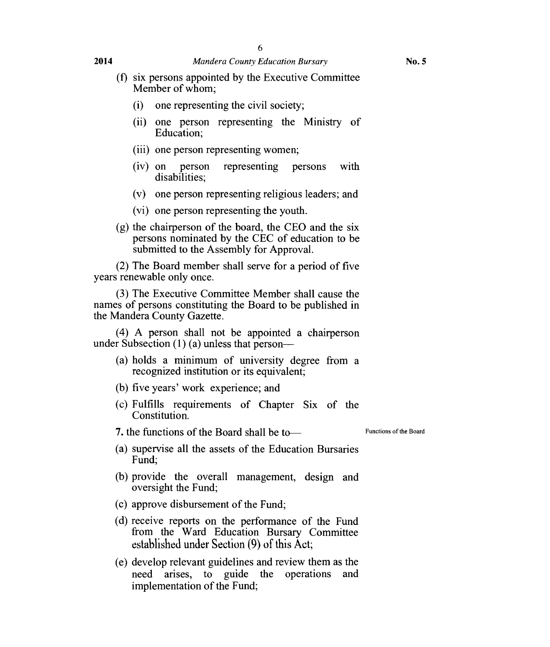#### **2014** *Mandera County Education Bursary* **No. 5**

- (f) six persons appointed by the Executive Committee Member of whom;
	- (i) one representing the civil society;
	- (ii) one person representing the Ministry of Education;
	- (iii) one person representing women;
	- (iv) on person representing persons with disabilities;
	- (v) one person representing religious leaders; and
	- (vi) one person representing the youth.
- (g) the chairperson of the board, the CEO and the six persons nominated by the CEC of education to be submitted to the Assembly for Approval.

(2) The Board member shall serve for a period of five years renewable only once.

(3) The Executive Committee Member shall cause the names of persons constituting the Board to be published in the Mandera County Gazette.

(4) A person shall not be appointed a chairperson under Subsection (1) (a) unless that person—

- (a) holds a minimum of university degree from a recognized institution or its equivalent;
- (b) five years' work experience; and
- (c) Fulfills requirements of Chapter Six of the Constitution.

7. the functions of the Board shall be to Functions of the Board

- (a) supervise all the assets of the Education Bursaries Fund;
- (b) provide the overall management, design and oversight the Fund;
- (c) approve disbursement of the Fund;
- (d) receive reports on the performance of the Fund from the Ward Education Bursary Committee established under Section (9) of this Act;
- (e) develop relevant guidelines and review them as the need arises, to guide the operations and implementation of the Fund;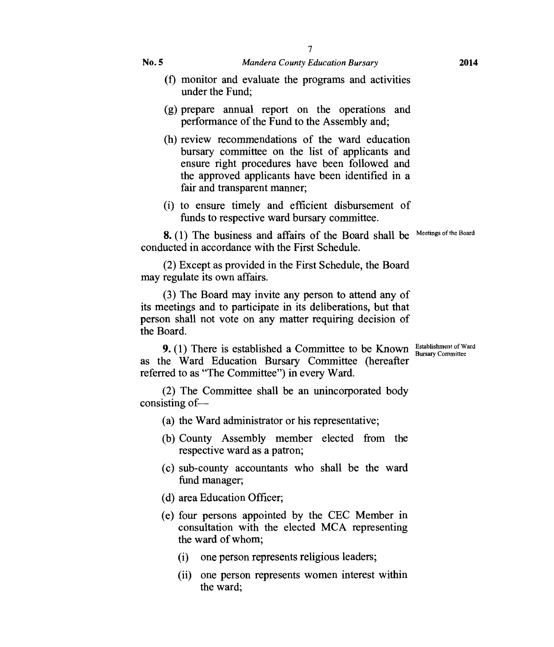- (f) monitor and evaluate the programs and activities under the Fund;
- (g) prepare annual report on the operations and performance of the Fund to the Assembly and;
- (h) review recommendations of the ward education bursary committee on the list of applicants and ensure right procedures have been followed and the approved applicants have been identified in a fair and transparent manner;
- (i) to ensure timely and efficient disbursement of funds to respective ward bursary committee.

8. (1) The business and affairs of the Board shall be Meetings of the Board conducted in accordance with the First Schedule.

(2) Except as provided in the First Schedule, the Board may regulate its own affairs.

(3) The Board may invite any person to attend any of its meetings and to participate in its deliberations, but that person shall not vote on any matter requiring decision of the Board.

as the Ward Education Bursary Committee (hereafter 9. (1) There is established a Committee to be Known Bursary Committee referred to as "The Committee") in every Ward.

(2) The Committee shall be an unincorporated body consisting of—

- (a) the Ward administrator or his representative;
- (b) County Assembly member elected from the respective ward as a patron;
- (c) sub-county accountants who shall be the ward fund manager;
- (d) area Education Officer;
- (e) four persons appointed by the CEC Member in consultation with the elected MCA representing the ward of whom;
	- (i) one person represents religious leaders;
	- (ii) one person represents women interest within the ward;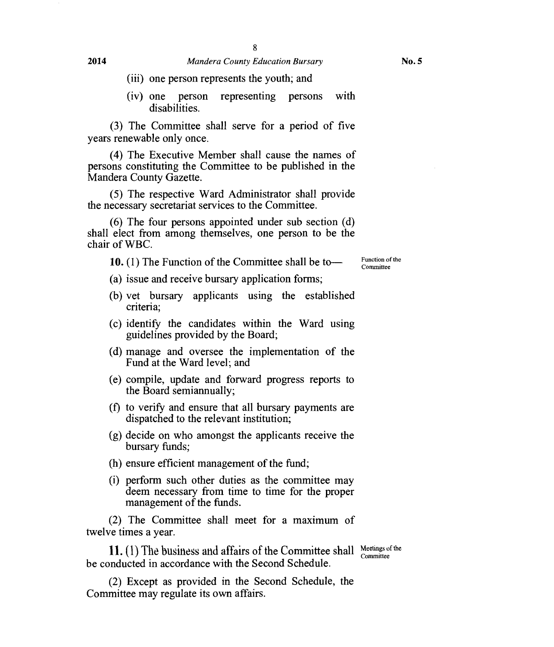- (iii) one person represents the youth; and
- (iv) one person representing persons with disabilities.

(3) The Committee shall serve for a period of five years renewable only once.

(4) The Executive Member shall cause the names of persons constituting the Committee to be published in the Mandera County Gazette.

(5) The respective Ward Administrator shall provide the necessary secretariat services to the Committee.

(6) The four persons appointed under sub section (d) shall elect from among themselves, one person to be the chair of WBC.

10. (1) The Function of the Committee shall be to—

(a) issue and receive bursary application forms;

- (b) vet bursary applicants using the established criteria;
- (c) identify the candidates within the Ward using guidelines provided by the Board;
- (d) manage and oversee the implementation of the Fund at the Ward level; and
- (e) compile, update and forward progress reports to the Board semiannually;
- (f) to verify and ensure that all bursary payments are dispatched to the relevant institution;
- (g) decide on who amongst the applicants receive the bursary funds;
- (h) ensure efficient management of the fund;
- (i) perform such other duties as the committee may deem necessary from time to time for the proper management of the funds.

(2) The Committee shall meet for a maximum of twelve times a year.

11. (1) The business and affairs of the Committee shall  $\frac{\text{Meetings of the}}{\text{Committee}}$ be conducted in accordance with the Second Schedule. Committee

(2) Except as provided in the Second Schedule, the Committee may regulate its own affairs.

Function of the Committee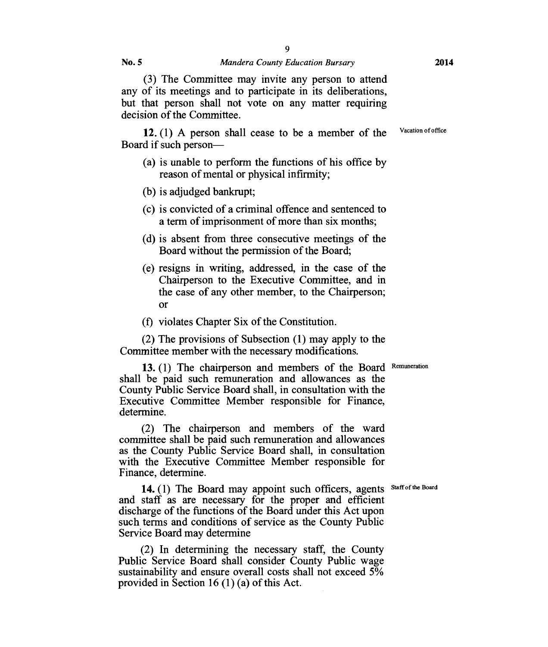(3) The Committee may invite any person to attend any of its meetings and to participate in its deliberations, but that person shall not vote on any matter requiring decision of the Committee.

12. (1) A person shall cease to be a member of the Vacation of office Board if such person—

- (a) is unable to perform the functions of his office by reason of mental or physical infirmity;
- (b) is adjudged bankrupt;
- (c) is convicted of a criminal offence and sentenced to a term of imprisonment of more than six months;
- (d) is absent from three consecutive meetings of the Board without the permission of the Board;
- (e) resigns in writing, addressed, in the case of the Chairperson to the Executive Committee, and in the case of any other member, to the Chairperson; Or
- (f) violates Chapter Six of the Constitution.

(2) The provisions of Subsection (1) may apply to the Committee member with the necessary modifications.

13. (1) The chairperson and members of the Board Remuneration shall be paid such remuneration and allowances as the County Public Service Board shall, in consultation with the Executive Committee Member responsible for Finance, determine

(2) The chairperson and members of the ward committee shall be paid such remuneration and allowances as the County Public Service Board shall, in consultation with the Executive Committee Member responsible for Finance, determine

14. (1) The Board may appoint such officers, agents Staff of the Board and staff as are necessary for the proper and efficient discharge of the functions of the Board under this Act upon such terms and conditions of service as the County Public Service Board may determine

(2) In determining the necessary staff, the County Public Service Board shall consider County Public wage sustainability and ensure overall costs shall not exceed 5% provided in Section 16 (1) (a) of this Act.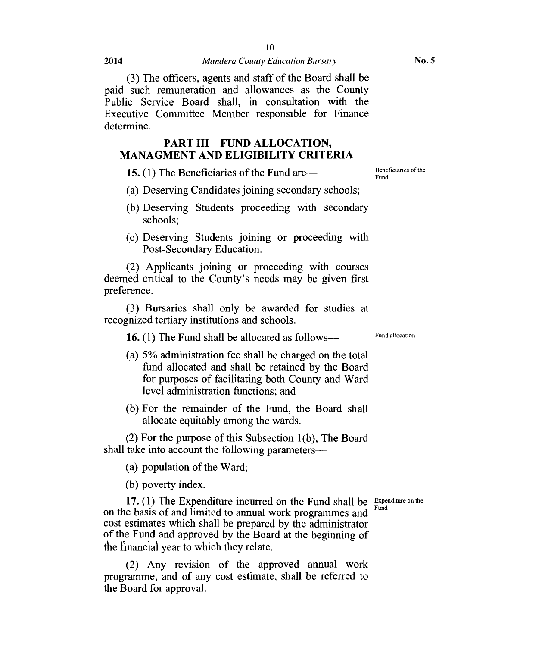(3) The officers, agents and staff of the Board shall be paid such remuneration and allowances as the County Public Service Board shall, in consultation with the Executive Committee Member responsible for Finance determine

#### **PART III—FUND ALLOCATION, MANAGMENT AND ELIGIBILITY CRITERIA**

**15.** (1) The Beneficiaries of the Fund are—

- (a) Deserving Candidates joining secondary schools;
- (b) Deserving Students proceeding with secondary schools;
- (c) Deserving Students joining or proceeding with Post-Secondary Education.

(2) Applicants joining or proceeding with courses deemed critical to the County's needs may be given first preference.

(3) Bursaries shall only be awarded for studies at recognized tertiary institutions and schools.

**16.** (1) The Fund shall be allocated as follows—

- (a) 5% administration fee shall be charged on the total fund allocated and shall be retained by the Board for purposes of facilitating both County and Ward level administration functions; and
- (b) For the remainder of the Fund, the Board shall allocate equitably among the wards.

(2) For the purpose of this Subsection 1(b), The Board shall take into account the following parameters—

(a) population of the Ward;

(b) poverty index.

**17.** (1) The Expenditure incurred on the Fund shall be  $\frac{Expected$  fluxe on the on the basis of and limited to annual work programmes and cost estimates which shall be prepared by the administrator of the Fund and approved by the Board at the beginning of the financial year to which they relate. Fund

(2) Any revision of the approved annual work programme, and of any cost estimate, shall be referred to the Board for approval.

**No. 5** 

Fund allocation

Beneficiaries of the Fund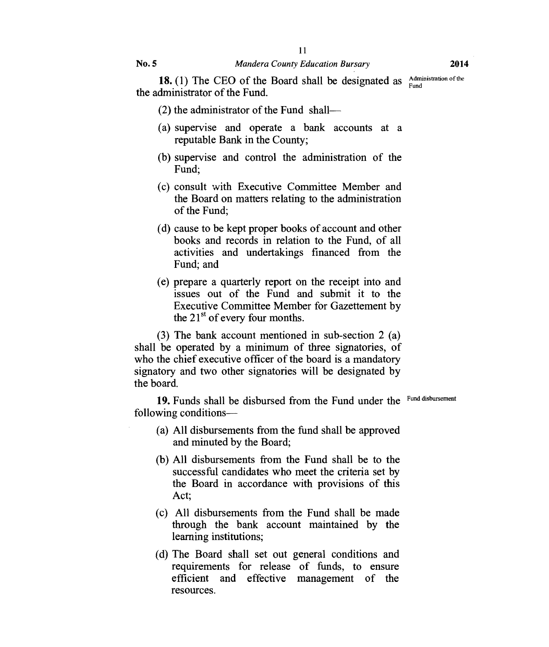18. (1) The CEO of the Board shall be designated as  $\frac{\text{Administration of the}}{\text{Fund}}$ the administrator of the Fund.

- (2) the administrator of the Fund shall—
- (a) supervise and operate a bank accounts at a reputable Bank in the County;
- (b) supervise and control the administration of the Fund;
- (c) consult with Executive Committee Member and the Board on matters relating to the administration of the Fund;
- (d) cause to be kept proper books of account and other books and records in relation to the Fund, of all activities and undertakings financed from the Fund; and
- (e) prepare a quarterly report on the receipt into and issues out of the Fund and submit it to the Executive Committee Member for Gazettement by the  $21<sup>st</sup>$  of every four months.

(3) The bank account mentioned in sub-section 2 (a) shall be operated by a minimum of three signatories, of who the chief executive officer of the board is a mandatory signatory and two other signatories will be designated by the board.

19. Funds shall be disbursed from the Fund under the Fund disbursement following conditions—

- (a) All disbursements from the fund shall be approved and minuted by the Board;
- (b) All disbursements from the Fund shall be to the successful candidates who meet the criteria set by the Board in accordance with provisions of this Act;
- (c) All disbursements from the Fund shall be made through the bank account maintained by the learning institutions;
- (d) The Board shall set out general conditions and requirements for release of funds, to ensure efficient and effective management of the resources.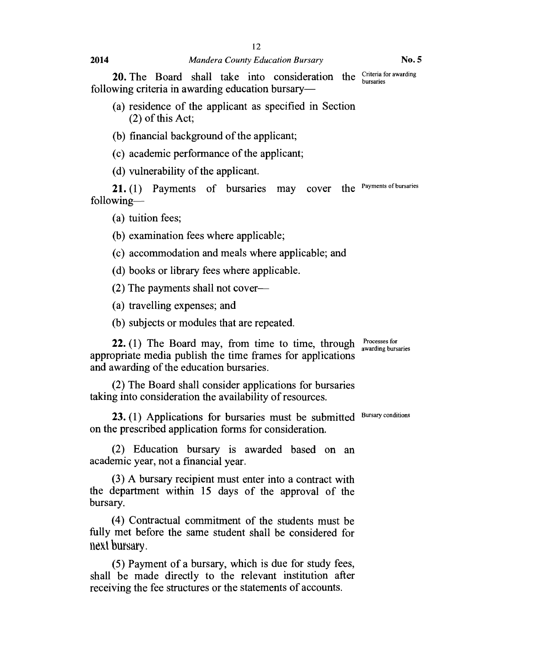20. The Board shall take into consideration the Criteria for awarding bursaries following criteria in awarding education bursary—

- (a) residence of the applicant as specified in Section (2) of this Act;
- (b) financial background of the applicant;
- (c) academic performance of the applicant;
- (d) vulnerability of the applicant.

21. (1) Payments of bursaries may cover the Payments of bursaries following—

(a) tuition fees;

- (b) examination fees where applicable;
- (c) accommodation and meals where applicable; and
- (d) books or library fees where applicable.
- (2) The payments shall not cover—
- (a) travelling expenses; and
- (b) subjects or modules that are repeated.

**22.** (1) The Board may, from time to time, through Processes for awarding bursaries appropriate media publish the time frames for applications and awarding of the education bursaries.

(2) The Board shall consider applications for bursaries taking into consideration the availability of resources.

23. (1) Applications for bursaries must be submitted Bursary conditions on the prescribed application forms for consideration.

(2) Education bursary is awarded based on an academic year, not a financial year.

(3) A bursary recipient must enter into a contract with the department within 15 days of the approval of the bursary.

(4) Contractual commitment of the students must be fully met before the same student shall be considered for next bursary.

(5) Payment of a bursary, which is due for study fees, shall be made directly to the relevant institution after receiving the fee structures or the statements of accounts.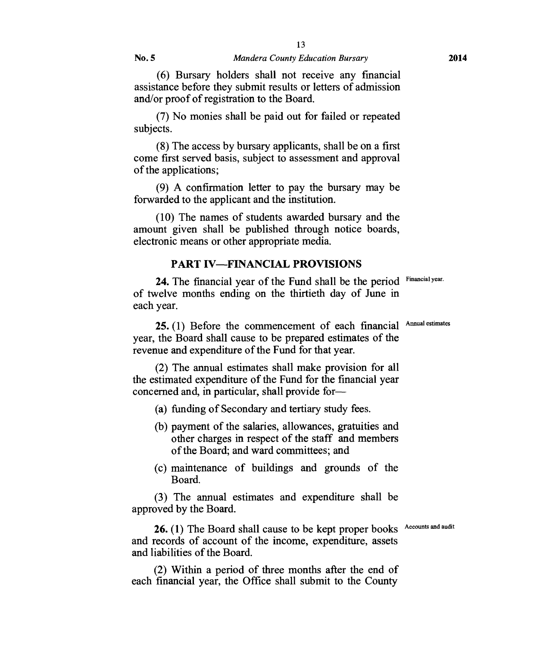(6) Bursary holders shall not receive any financial assistance before they submit results or letters of admission and/or proof of registration to the Board.

(7) No monies shall be paid out for failed or repeated subjects.

(8) The access by bursary applicants, shall be on a first come first served basis, subject to assessment and approval of the applications;

(9) A confirmation letter to pay the bursary may be forwarded to the applicant and the institution.

(10) The names of students awarded bursary and the amount given shall be published through notice boards, electronic means or other appropriate media.

#### **PART IV—FINANCIAL PROVISIONS**

24. The financial year of the Fund shall be the period Financial year. of twelve months ending on the thirtieth day of June in each year.

25. (1) Before the commencement of each financial Annual estimates year, the Board shall cause to be prepared estimates of the revenue and expenditure of the Fund for that year.

(2) The annual estimates shall make provision for all the estimated expenditure of the Fund for the financial year concerned and, in particular, shall provide for—

- (a) funding of Secondary and tertiary study fees.
- (b) payment of the salaries, allowances, gratuities and other charges in respect of the staff and members of the Board; and ward committees; and
- (c) maintenance of buildings and grounds of the Board.

(3) The annual estimates and expenditure shall be approved by the Board.

26. (1) The Board shall cause to be kept proper books Accounts and audit and records of account of the income, expenditure, assets and liabilities of the Board.

(2) Within a period of three months after the end of each financial year, the Office shall submit to the County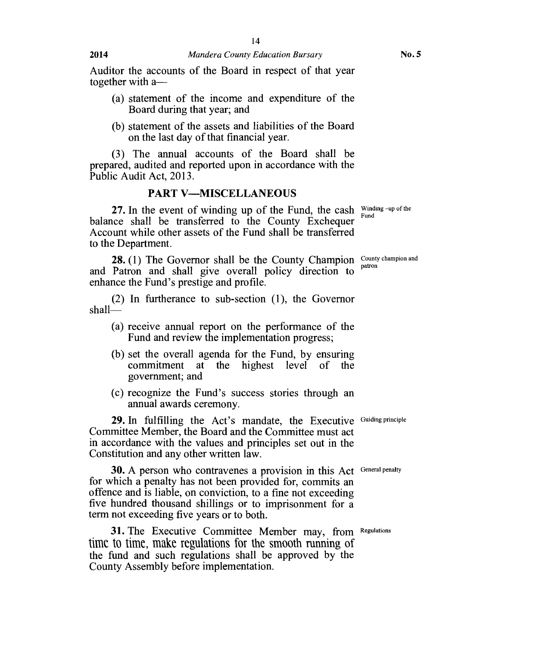Auditor the accounts of the Board in respect of that year together with a—

- (a) statement of the income and expenditure of the Board during that year; and
- (b) statement of the assets and liabilities of the Board on the last day of that financial year.

(3) The annual accounts of the Board shall be prepared, audited and reported upon in accordance with the Public Audit Act, 2013.

#### PART **V—MISCELLANEOUS**

**27.** In the event of winding up of the Fund, the cash  $\frac{\text{Winding-up of the}}{\text{End}}$ balance shall be transferred to the County Exchequer Account while other assets of the Fund shall be transferred to the Department. Fund

**28.** (1) The Governor shall be the County Champion  $\frac{\text{County champion and}\text{parton}}{\text{parton}}$ and Patron and shall give overall policy direction to enhance the Fund's prestige and profile.

(2) In furtherance to sub-section (1), the Governor shall—

- (a) receive annual report on the performance of the Fund and review the implementation progress;
- (b) set the overall agenda for the Fund, by ensuring commitment at the highest level of the government; and
- (c) recognize the Fund's success stories through an annual awards ceremony.

29. In fulfilling the Act's mandate, the Executive Guiding principle Committee Member, the Board and the Committee must act in accordance with the values and principles set out in the Constitution and any other written law.

**30.** A person who contravenes a provision in this Act General penalty for which a penalty has not been provided for, commits an offence and is liable, on conviction, to a fine not exceeding five hundred thousand shillings or to imprisonment for a term not exceeding five years or to both.

31. The Executive Committee Member may, from Regulations time to time, make regulations for the smooth running of the fund and such regulations shall be approved by the County Assembly before implementation.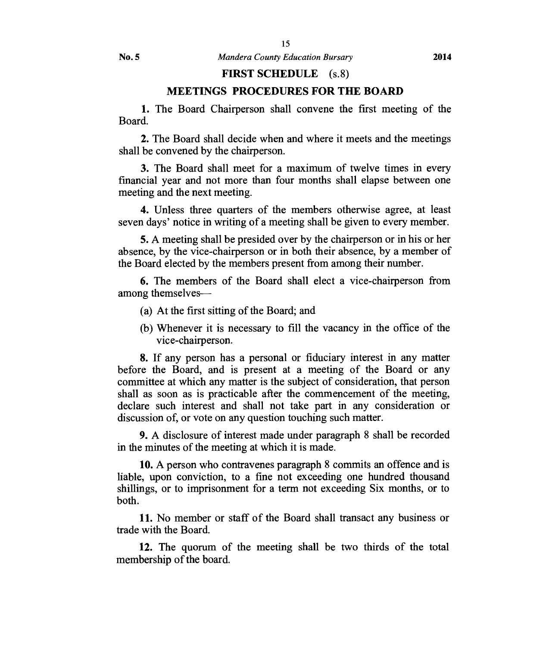#### **FIRST SCHEDULE** (s.8)

#### **MEETINGS PROCEDURES FOR THE BOARD**

1. The Board Chairperson shall convene the first meeting of the Board.

2. The Board shall decide when and where it meets and the meetings shall be convened by the chairperson.

3. The Board shall meet for a maximum of twelve times in every financial year and not more than four months shall elapse between one meeting and the next meeting.

4. Unless three quarters of the members otherwise agree, at least seven days' notice in writing of a meeting shall be given to every member.

5. A meeting shall be presided over by the chairperson or in his or her absence, by the vice-chairperson or in both their absence, by a member of the Board elected by the members present from among their number.

6. The members of the Board shall elect a vice-chairperson from among themselves—

- (a) At the first sitting of the Board; and
- (b) Whenever it is necessary to fill the vacancy in the office of the vice-chairperson.

8. If any person has a personal or fiduciary interest in any matter before the Board, and is present at a meeting of the Board or any committee at which any matter is the subject of consideration, that person shall as soon as is practicable after the commencement of the meeting, declare such interest and shall not take part in any consideration or discussion of, or vote on any question touching such matter.

9. A disclosure of interest made under paragraph 8 shall be recorded in the minutes of the meeting at which it is made.

10.A person who contravenes paragraph 8 commits an offence and is liable, upon conviction, to a fine not exceeding one hundred thousand shillings, or to imprisonment for a term not exceeding Six months, or to both.

11. No member or staff of the Board shall transact any business or trade with the Board.

12. The quorum of the meeting shall be two thirds of the total membership of the board.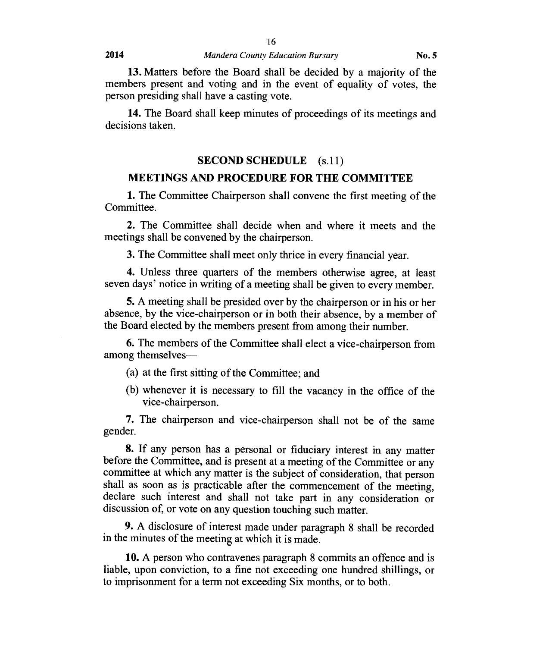13. Matters before the Board shall be decided by a majority of the members present and voting and in the event of equality of votes, the person presiding shall have a casting vote.

14. The Board shall keep minutes of proceedings of its meetings and decisions taken.

#### **SECOND SCHEDULE (s.11)**

#### **MEETINGS AND PROCEDURE FOR THE COMMITTEE**

**1.** The Committee Chairperson shall convene the first meeting of the Committee.

**2.** The Committee shall decide when and where it meets and the meetings shall be convened by the chairperson.

3. The Committee shall meet only thrice in every financial year.

**4.** Unless three quarters of the members otherwise agree, at least seven days' notice in writing of a meeting shall be given to every member.

**5.** A meeting shall be presided over by the chairperson or in his or her absence, by the vice-chairperson or in both their absence, by a member of the Board elected by the members present from among their number.

**6.** The members of the Committee shall elect a vice-chairperson from among themselves—

- (a) at the first sitting of the Committee; and
- (b) whenever it is necessary to fill the vacancy in the office of the vice-chairperson.

**7.** The chairperson and vice-chairperson shall not be of the same gender.

**8.** If any person has a personal or fiduciary interest in any matter before the Committee, and is present at a meeting of the Committee or any committee at which any matter is the subject of consideration, that person shall as soon as is practicable after the commencement of the meeting, declare such interest and shall not take part in any consideration or discussion of, or vote on any question touching such matter.

**9.** A disclosure of interest made under paragraph 8 shall be recorded in the minutes of the meeting at which it is made.

**10.** A person who contravenes paragraph 8 commits an offence and is liable, upon conviction, to a fine not exceeding one hundred shillings, or to imprisonment for a term not exceeding Six months, or to both.